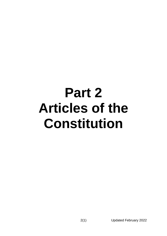# **Part 2 Articles of the Constitution**

2(1) Updated February 2022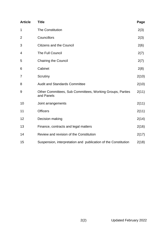<span id="page-1-0"></span>

| <b>Article</b> | <b>Title</b>                                                            | Page  |
|----------------|-------------------------------------------------------------------------|-------|
| 1              | <b>The Constitution</b>                                                 | 2(3)  |
| $\overline{2}$ | Councillors                                                             | 2(3)  |
| 3              | <b>Citizens and the Council</b>                                         | 2(6)  |
| 4              | The Full Council                                                        | 2(7)  |
| 5              | <b>Chairing the Council</b>                                             | 2(7)  |
| 6              | Cabinet                                                                 | 2(8)  |
| 7              | Scrutiny                                                                | 2(10) |
| 8              | <b>Audit and Standards Committee</b>                                    | 2(10) |
| 9              | Other Committees, Sub Committees, Working Groups, Parties<br>and Panels | 2(11) |
| 10             | Joint arrangements                                                      | 2(11) |
| 11             | <b>Officers</b>                                                         | 2(11) |
| 12             | Decision making                                                         | 2(14) |
| 13             | Finance, contracts and legal matters                                    | 2(16) |
| 14             | Review and revision of the Constitution                                 | 2(17) |
| 15             | Suspension, interpretation and publication of the Constitution          | 2(18) |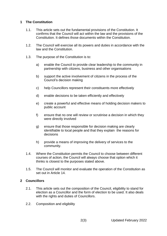# **1 The Constitution**

- 1.1. This article sets out the fundamental provisions of the Constitution. It confirms that the Council will act within the law and the provisions of the Constitution. It defines those documents within the Constitution.
- 1.2. The Council will exercise all its powers and duties in accordance with the law and the Constitution.
- 1.3. The purpose of the Constitution is to:
	- a) enable the Council to provide clear leadership to the community in partnership with citizens, business and other organisations
	- b) support the active involvement of citizens in the process of the Council's decision making
	- c) help Councillors represent their constituents more effectively
	- d) enable decisions to be taken efficiently and effectively
	- e) create a powerful and effective means of holding decision makers to public account
	- f) ensure that no one will review or scrutinise a decision in which they were directly involved
	- g) ensure that those responsible for decision making are clearly identifiable to local people and that they explain the reasons for decisions
	- h) provide a means of improving the delivery of services to the community.
- 1.4. Where the Constitution permits the Council to choose between different courses of action, the Council will always choose that option which it thinks is closest to the purposes stated above.
- 1.5. The Council will monitor and evaluate the operation of the Constitution as set out in Article 14.

# <span id="page-2-0"></span>**2 Councillors**

- 2.1. This article sets out the composition of the Council, eligibility to stand for election as a Councillor and the form of election to be used. It also deals with the rights and duties of Councillors.
- 2.2. Composition and eligibility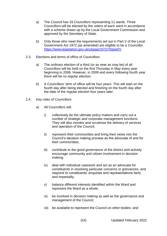- a) The Council has 33 Councillors representing 11 wards. Three Councillors will be elected by the voters of each ward in accordance with a scheme drawn up by the Local Government Commission and approved by the Secretary of State.
- b) Only those who meet the requirements set out in Part V of the Local Government Act 1972 (as amended) are eligible to be a Councillor. <https://www.legislation.gov.uk/ukpga/1972/70/part/V>
- 2.3. Elections and terms of office of Councillors
	- a) The ordinary election of a third (or as near as may be) of all Councillors will be held on the first Thursday in May every year beginning in 2006. However, in 2009 and every following fourth year there will be no regular election.
	- b) A Councillors' term of office will be four years. This will start on the fourth day after being elected and finishing on the fourth day after the date of the regular election four years later.
- 2.4. Key roles of Councillors
	- a) All Councillors will:
		- i) collectively be the ultimate policy makers and carry out a number of strategic and corporate management functions. They will also monitor and scrutinise the delivery of services and operation of the Council;
		- ii) represent their communities and bring their views into the Council's decision making process as the advocate of and for their communities;
		- iii) contribute to the good governance of the district and actively encourage community and citizen involvement in decision making;
		- iv) deal with individual casework and act as an advocate for constituents in resolving particular concerns or grievances, and respond to constituents' enquiries and representations fairly and impartially;
		- v) balance different interests identified within the Ward and represent the Ward as a whole;
		- vi) be involved in decision making as well as the governance and management of the Council;
		- vii) be available to represent the Council on other bodies; and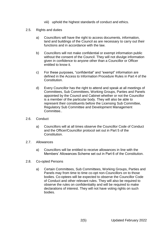- viii) uphold the highest standards of conduct and ethics.
- 2.5. Rights and duties
	- a) Councillors will have the right to access documents, information, land and buildings of the Council as are necessary to carry out their functions and in accordance with the law.
	- b) Councillors will not make confidential or exempt information public without the consent of the Council. They will not divulge information given in confidence to anyone other than a Councillor or Officer entitled to know it.
	- c) For these purposes, "confidential" and "exempt" information are defined in the Access to Information Procedure Rules in Part 4 of the Constitution.
	- d) Every Councillor has the right to attend and speak at all meetings of Committees, Sub Committees, Working Groups, Parties and Panels appointed by the Council and Cabinet whether or not the Councillor is a member of the particular body. They will also be able to represent their constituents before the Licensing Sub Committee, Regulatory Sub Committee and Development Management Committee..
- 2.6. Conduct
	- a) Councillors will at all times observe the Councillor Code of Conduct and the Officer/Councillor protocol set out in Part 5 of the Constitution.
- 2.7. Allowances
	- a) Councillors will be entitled to receive allowances in line with the Members' Allowances Scheme set out in Part 6 of the Constitution.
- 2.8. Co-opted Persons
	- a) Certain Committees, Sub Committees, Working Groups, Parties and Panels may from time to time co-opt non-Councillors on to those bodies. Co-optees will be expected to observe the Councillor Code of Conduct and other relevant rules. They will also be required to observe the rules on confidentiality and will be required to make declarations of interest. They will not have voting rights on such bodies.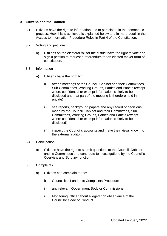## <span id="page-5-0"></span>**3 Citizens and the Council**

- 3.1. Citizens have the right to information and to participate in the democratic process. How this is achieved is explained below and in more detail in the Access to Information Procedure Rules in Part 4 of the Constitution.
- 3.2. Voting and petitions
	- a) Citizens on the electoral roll for the district have the right to vote and sign a petition to request a referendum for an elected mayor form of constitution.
- 3.3. Information
	- a) Citizens have the right to:
		- i) attend meetings of the Council, Cabinet and their Committees, Sub Committees, Working Groups, Parties and Panels (except where confidential or exempt information is likely to be disclosed and that part of the meeting is therefore held in private)
		- ii) see reports, background papers and any record of decisions made by the Council, Cabinet and their Committees, Sub Committees, Working Groups, Parties and Panels (except where confidential or exempt information is likely to be disclosed)
		- iii) inspect the Council's accounts and make their views known to the external auditor.
- 3.4. Participation
	- a) Citizens have the right to submit questions to the Council, Cabinet and its Committees and contribute to investigations by the Council's Overview and Scrutiny function.
- 3.5. Complaints
	- a) Citizens can complain to the:
		- i) Council itself under its Complaints Procedure
		- ii) any relevant Government Body or Commissioner
		- iii) Monitoring Officer about alleged non observance of the Councillor Code of Conduct.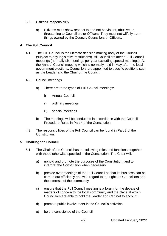## 3.6. Citizens' responsibility

a) Citizens must show respect to and not be violent, abusive or threatening to Councillors or Officers. They must not wilfully harm things owned by the Council, Councillors or Officers.

## <span id="page-6-0"></span>**4 The Full Council**

- 4.1. The Full Council is the ultimate decision making body of the Council (subject to any legislative restrictions). All Councillors attend Full Council meetings (normally six meetings per year excluding special meetings). At the Annual Council meeting which is normally held in May after the local government elections, Councillors are appointed to specific positions such as the Leader and the Chair of the Council.
- 4.2. Council meetings
	- a) There are three types of Full Council meetings:
		- i) Annual Council
		- ii) ordinary meetings
		- iii) special meetings
	- b) The meetings will be conducted in accordance with the Council Procedure Rules in Part 4 of the Constitution.
- 4.3. The responsibilities of the Full Council can be found in Part 3 of the Constitution.

# **5 Chairing the Council**

- 5.1. The Chair of the Council has the following roles and functions, together with those otherwise specified in the Constitution. The Chair will:
	- a) uphold and promote the purposes of the Constitution, and to interpret the Constitution when necessary
	- b) preside over meetings of the Full Council so that its business can be carried out efficiently and with regard to the rights of Councillors and the interests of the community
	- c) ensure that the Full Council meeting is a forum for the debate of matters of concern to the local community and the place at which Councillors are able to hold the Leader and Cabinet to account
	- d) promote public involvement in the Council's activities
	- e) be the conscience of the Council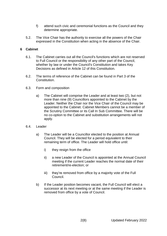- f) attend such civic and ceremonial functions as the Council and they determine appropriate.
- 5.2. The Vice Chair has the authority to exercise all the powers of the Chair expressed in the Constitution when acting in the absence of the Chair.

## <span id="page-7-0"></span>**6 Cabinet**

- 6.1. The Cabinet carries out all the Council's functions which are not reserved to Full Council or the responsibility of any other part of the Council, whether by law or under the Council's Constitution and takes Key Decisions as defined in Article 12 of this Constitution.
- 6.2. The terms of reference of the Cabinet can be found in Part 3 of the Constitution.
- 6.3. Form and composition
	- a) The Cabinet will comprise the Leader and at least two (2), but not more than nine (9) Councillors appointed to the Cabinet by the Leader. Neither the Chair nor the Vice Chair of the Council may be appointed to the Cabinet. Cabinet Members cannot be a member of the Scrutiny Committee or its Call In Sub Committee. There will be no co-option to the Cabinet and substitution arrangements will not apply.
- 6.4. Leader
	- a) The Leader will be a Councillor elected to the position at Annual Council. They will be elected for a period equivalent to their remaining term of office. The Leader will hold office until:
		- i) they resign from the office
		- ii) a new Leader of the Council is appointed at the Annual Council meeting if the current Leader reaches the normal date of their retirement/re-election; or
		- iii) they're removed from office by a majority vote of the Full Council.
	- b) If the Leader position becomes vacant, the Full Council will elect a successor at its next meeting or at the same meeting if the Leader is removed from office by a vote of Council.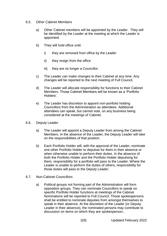- 6.5. Other Cabinet Members
	- a) Other Cabinet members will be appointed by the Leader. They will be identified by the Leader at the meeting at which the Leader is appointed.
	- b) They will hold office until:
		- i) they are removed from office by the Leader
		- ii) they resign from the office
		- iii) they are no longer a Councillor.
	- c) The Leader can make changes to their Cabinet at any time. Any changes will be reported to the next meeting of Full Council.
	- d) The Leader will allocate responsibility for functions to their Cabinet Members. Those Cabinet Members will be known as a 'Portfolio Holders'.
	- e) The Leader has discretion to appoint non-portfolio holding Councillors from the Administration as attendees. Additional attendees can speak, but cannot vote, on any business being considered at the meetings of Cabinet.
- 6.6. Deputy Leader
	- a) The Leader will appoint a Deputy Leader from among the Cabinet Members. In the absence of the Leader, the Deputy Leader will take on the responsibilities of that position.
	- b) Each Portfolio Holder will, with the approval of the Leader, nominate one other Portfolio Holder to deputise for them in their absence or when otherwise unable to perform their duties. In the absence of both the Portfolio Holder and the Portfolio Holder deputising for them, responsibility for a portfolio will pass to the Leader. Where the Leader is unable to perform the duties of others, responsibility for those duties will pass to the Deputy Leader.
- 6.7. Non-Cabinet Councillors
	- a) Political groups not forming part of the Administration will form opposition groups. They can nominate Councillors to speak on specific Portfolio Holder functions at meetings of the Cabinet. Nominations will be reported to Full Council. Those spokespersons shall be entitled to nominate deputies from amongst themselves to speak in their absence. At the discretion of the Leader (or Deputy Leader in their absence), the nominated persons may contribute to discussion on items on which they are spokesperson..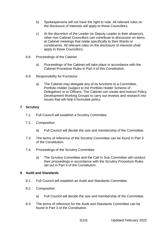- b) Spokespersons will not have the right to vote. All relevant rules on the disclosure of interests will apply to those Councillors.
- c) At the discretion of the Leader (or Deputy Leader in their absence), other non-Cabinet Councillors can contribute to discussion on items at Cabinet meetings that relate specifically to their Wards or constituents. All relevant rules on the disclosure of interests shall apply to those Councillors.
- 6.8. Proceedings of the Cabinet
	- a) Proceedings of the Cabinet will take place in accordance with the Cabinet Procedure Rules in Part 4 of this Constitution.
- 6.9. Responsibility for Functions
	- a) The Cabinet may delegate any of its functions to a Committee, Portfolio Holder (subject to the Portfolio Holder Scheme of Delegation) or to Officers. The Cabinet can create and instruct Policy Development Working Groups to carry out reviews and research into issues that will help it formulate policy.

## **7 Scrutiny**

- 7.1. Full Council will establish a Scrutiny Committee.
- 7.2. Composition
	- a) Full Council will decide the size and membership of the Committee.
- 7.3. The terms of reference of the Scrutiny Committee can be found in Part 3 of the Constitution.
- 7.4. Proceedings of the Scrutiny Committee
	- a) The Scrutiny Committee and the Call In Sub Committee will conduct their proceedings in accordance with the Scrutiny Procedure Rules set out in Part 4 of the Constitution.

#### **8 Audit and Standards**

- 8.1. Full Council will establish an Audit and Standards Committee.
- 8.2. Composition
	- a) Full Council will decide the size and membership of the Committee.
- 8.3. The terms of reference for the Audit and Standards Committee can be found in Part 3 of the Constitution.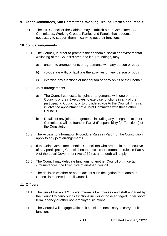# <span id="page-10-0"></span>**9 Other Committees, Sub Committees, Working Groups, Parties and Panels**

9.1. The Full Council or the Cabinet may establish other Committees, Sub Committees, Working Groups, Parties and Panels that it deems necessary to support them in carrying out their functions.

#### **10 Joint arrangements**

- 10.1. The Council, in order to promote the economic, social or environmental wellbeing of the Council's area and it surroundings, may:
	- a) enter into arrangements or agreements with any person or body
	- b) co-operate with, or facilitate the activities of, any person or body
	- c) exercise any functions of that person or body on its or their behalf.
- 10.2. Joint arrangements
	- a) The Council can establish joint arrangements with one or more Councils or their Executives to exercise functions in any of the participating Councils, or to provide advice to the Council. This can involve the appointment of a Joint Committee with these other Councils.
	- b) Details of any joint arrangements including any delegation to Joint Committees will be found in Part 3 (Responsibility for Functions) of the Constitution.
- 10.3. The Access to Information Procedure Rules in Part 4 of the Constitution apply to any joint arrangements.
- 10.4. If the Joint Committee contains Councillors who are not in the Executive of any participating Council then the access to information rules in Part V A of the Local Government Act 1972 (as amended) will apply.
- 10.5. The Council may delegate functions to another Council or, in certain circumstances, the Executive of another Council.
- 10.6. The decision whether or not to accept such delegation from another Council is reserved to Full Council.

#### **11 Officers**

- 11.1. The use of the word "Officers" means all employees and staff engaged by the Council to carry out its functions including those engaged under short term, agency or other non-employed situations.
- 11.2. The Council will engage Officers it considers necessary to carry out its functions.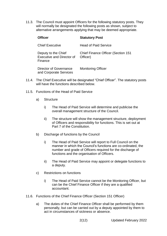11.3. The Council must appoint Officers for the following statutory posts. They will normally be designated the following posts as shown, subject to alternative arrangements applying that may be deemed appropriate.

| <b>Officer</b>                                                     | <b>Statutory Post</b>                                 |
|--------------------------------------------------------------------|-------------------------------------------------------|
| <b>Chief Executive</b>                                             | <b>Head of Paid Service</b>                           |
| Deputy to the Chief<br><b>Executive and Director of</b><br>Finance | <b>Chief Finance Officer (Section 151</b><br>Officer) |
| Director of Governance<br>and Corporate Services                   | <b>Monitoring Officer</b>                             |

- 11.4. The Chief Executive will be designated "Chief Officer". The statutory posts will have the functions described below.
- 11.5. Functions of the Head of Paid Service
	- a) Structure
		- i) The Head of Paid Service will determine and publicise the overall management structure of the Council.
		- ii) The structure will show the management structure, deployment of Officers and responsibility for functions. This is set out at Part 7 of the Constitution.
	- b) Discharge of functions by the Council
		- i) The Head of Paid Service will report to Full Council on the manner in which the Council's functions are co-ordinated, the number and grade of Officers required for the discharge of functions and the organisation of Officers.
		- ii) The Head of Paid Service may appoint or delegate functions to a deputy.
	- c) Restrictions on functions
		- i) The Head of Paid Service cannot be the Monitoring Officer, but can be the Chief Finance Officer if they are a qualified accountant.
- 11.6. Functions of the Chief Finance Officer (Section 151 Officer)
	- a) The duties of the Chief Finance Officer shall be performed by them personally, but can be carried out by a deputy appointed by them to act in circumstances of sickness or absence.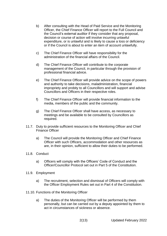- b) After consulting with the Head of Paid Service and the Monitoring Officer, the Chief Finance Officer will report to the Full Council and the Council's external auditor if they consider that any proposal, decision or course of action will involve incurring unlawful expenditure, or is unlawful and is likely to cause a loss or deficiency or if the Council is about to enter an item of account unlawfully.
- c) The Chief Finance Officer will have responsibility for the administration of the financial affairs of the Council.
- d) The Chief Finance Officer will contribute to the corporate management of the Council, in particular through the provision of professional financial advice.
- e) The Chief Finance Officer will provide advice on the scope of powers and authority to take decisions, maladministration, financial impropriety and probity to all Councillors and will support and advise Councillors and Officers in their respective roles.
- f) The Chief Finance Officer will provide financial information to the media, members of the public and the community.
- g) The Chief Finance Officer shall have access, as necessary to meetings and be available to be consulted by Councillors as required.
- 11.7. Duty to provide sufficient resources to the Monitoring Officer and Chief Finance Officer
	- a) The Council will provide the Monitoring Officer and Chief Finance Officer with such Officers, accommodation and other resources as are, in their opinion, sufficient to allow their duties to be performed.
- 11.8. Conduct
	- a) Officers will comply with the Officers' Code of Conduct and the Officer/Councillor Protocol set out in Part 5 of the Constitution.
- 11.9. Employment
	- a) The recruitment, selection and dismissal of Officers will comply with the Officer Employment Rules set out in Part 4 of the Constitution.
- 11.10. Functions of the Monitoring Officer
	- a) The duties of the Monitoring Officer will be performed by them personally, but can be carried out by a deputy appointed by them to act in circumstances of sickness or absence.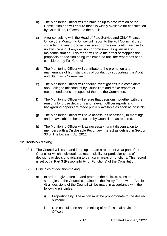- b) The Monitoring Officer will maintain an up to date version of the Constitution and will ensure that it is widely available for consultation by Councillors, Officers and the public.
- c) After consulting with the Head of Paid Service and Chief Finance Officer, the Monitoring Officer will report to the Full Council if they consider that any proposal, decision or omission would give rise to unlawfulness or if any decision or omission has given rise to maladministration. This report will have the effect of stopping the proposals or decision being implemented until the report has been considered by Full Council.
- d) The Monitoring Officer will contribute to the promotion and maintenance of high standards of conduct by supporting the Audit and Standards Committee.
- e) The Monitoring Officer will conduct investigations into complaints about alleged misconduct by Councillors and make reports or recommendations in respect of them to the Committee.
- f) The Monitoring Officer will ensure that decisions, together with the reasons for those decisions and relevant Officer reports and background papers are made publicly available as soon as possible.
- g) The Monitoring Officer will have access, as necessary, to meetings and be available to be consulted by Councillors as required.
- h) The Monitoring Officer will, as necessary, grant dispensation to members with a Disclosable Pecuniary Interest as defined in Section 33 of The Localism Act 2011.

# **12 Decision Making**

- 12.1. The Council will issue and keep up to date a record of what part of the Council or which individual has responsibility for particular types of decisions or decisions relating to particular areas or functions. This record is set out in Part 3 (Responsibility for Functions) of the Constitution.
- 12.2. Principles of decision-making
	- a) In order to give effect to and promote the policies, plans and strategies of the Council contained in the Policy Framework (Article 4) all decisions of the Council will be made in accordance with the following principles:
		- i) Proportionality. The action must be proportionate to the desired outcome
		- ii) Due consultation and the taking of professional advice from **Officers**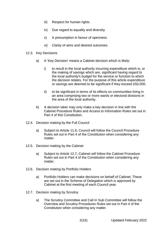- iii) Respect for human rights
- iv) Due regard to equality and diversity
- v) A presumption in favour of openness
- vi) Clarity of aims and desired outcomes.

#### 12.3. Key Decisions

- a) A 'Key Decision' means a Cabinet decision which is likely:
	- i) to result in the local authority incurring expenditure which is, or the making of savings which are, significant having regard to the local authority's budget for the service or function to which the decision relates. For the purpose of this article expenditure or savings are deemed to be significant if they exceed £50,000.
	- ii) to be significant in terms of its effects on communities living in an area comprising two or more wards or electoral divisions in the area of the local authority.
- b) A decision taker may only make a key decision in line with the Cabinet Procedure Rules and Access to Information Rules set out in Part 4 of this Constitution.
- 12.4. Decision making by the Full Council
	- a) Subject to Article 11.6, Council will follow the Council Procedure Rules set out in Part 4 of the Constitution when considering any matter.
- 12.5. Decision making by the Cabinet
	- a) Subject to Article 12.7, Cabinet will follow the Cabinet Procedure Rules set out in Part 4 of the Constitution when considering any matter.
- 12.6. Decision making by Portfolio Holders
	- a) Portfolio Holders can make decisions on behalf of Cabinet. These are set out in the Scheme of Delegation which is approved by Cabinet at the first meeting of each Council year.
- 12.7. Decision making by Scrutiny
	- a) The Scrutiny Committee and Call In Sub Committee will follow the Overview and Scrutiny Procedures Rules set out in Part 4 of the Constitution when considering any matter.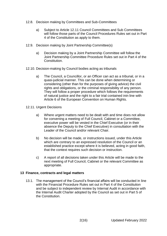- 12.8. Decision making by Committees and Sub-Committees
	- a) Subject to Article 12.11 Council Committees and Sub Committees will follow those parts of the Council Procedures Rules set out in Part 4 of the Constitution as apply to them.
- 12.9. Decision making by Joint Partnership Committee(s)
	- a) Decision making by a Joint Partnership Committee will follow the Joint Partnership Committee Procedure Rules set out in Part 4 of the Constitution.
- 12.10. Decision-making by Council bodies acting as tribunals
	- a) The Council, a Councillor, or an Officer can act as a tribunal, or in a quasi-judicial manner. This can be done when determining or considering (other than for the purposes of giving advice) the civil rights and obligations, or the criminal responsibility of any person. They will follow a proper procedure which follows the requirements of natural justice and the right to a fair trial contained inin line with Article 6 of the European Convention on Human Rights.
- 12.11. Urgent Decisions
	- a) Where urgent matters need to be dealt with and time does not allow for convening a meeting of Full Council, Cabinet or a Committee, executive power will be vested in the Chief Executive (or in their absence the Deputy to the Chief Executive) in consultation with the Leader of the Council and/or relevant Chair.
	- b) No decision will be made, or instructions issued, under this Article which are contrary to an expressed resolution of the Council or an established practice except where it is believed, acting in good faith, that the context requires such decision or instruction.
	- c) A report of all decisions taken under this Article will be made to the next meeting of Full Council, Cabinet or the relevant Committee as appropriate.

# **13 Finance, contracts and legal matters**

13.1. The management of the Council's financial affairs will be conducted in line with the Financial Procedure Rules set out in Part 4 of the Constitution and be subject to independent review by Internal Audit in accordance with the Internal Audit Charter adopted by the Council as set out in Part 5 of the Constitution.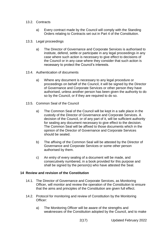- 13.2. Contracts
	- a) Every contract made by the Council will comply with the Standing Orders relating to Contracts set out in Part 4 of the Constitution.
- 13.3. Legal proceedings
	- a) The Director of Governance and Corporate Services is authorised to institute, defend, settle or participate in any legal proceedings in any case where such action is necessary to give effect to decisions of the Council or in any case where they consider that such action is necessary to protect the Council's interests.
- 13.4. Authentication of documents
	- a) Where any document is necessary to any legal procedure or proceedings on behalf of the Council, it will be signed by the Director of Governance and Corporate Services or other person they have authorised, unless another person has been given the authority to do so by the Council, or if they are required to do so.
- 13.5. Common Seal of the Council
	- a) The Common Seal of the Council will be kept in a safe place in the custody of the Director of Governance and Corporate Services. A decision of the Council, or of any part of it, will be sufficient authority for sealing any document necessary to give effect to the decision. The Common Seal will be affixed to those documents which in the opinion of the Director of Governance and Corporate Services should be sealed.
	- b) The affixing of the Common Seal will be attested by the Director of Governance and Corporate Services or some other person authorised by them.
	- c) An entry of every sealing of a document will be made, and consecutively numbered, in a book provided for this purpose and shall be signed by the person(s) who have attested the Seal.

#### **14 Review and revision of the Constitution**

- 14.1. The Director of Governance and Corporate Services, as Monitoring Officer, will monitor and review the operation of the Constitution to ensure that the aims and principles of the Constitution are given full effect.
- 14.2. Protocol for monitoring and review of Constitution by the Monitoring Officer:
	- a) The Monitoring Officer will be aware of the strengths and weaknesses of the Constitution adopted by the Council, and to make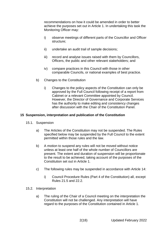recommendations on how it could be amended in order to better achieve the purposes set out in Article 1. In undertaking this task the Monitoring Officer may:

- i) observe meetings of different parts of the Councillor and Officer structure;
- ii) undertake an audit trail of sample decisions;
- iii) record and analyse issues raised with them by Councillors, Officers, the public and other relevant stakeholders; and
- iv) compare practices in this Council with those in other comparable Councils, or national examples of best practice.
- b) Changes to the Constitution
	- i) Changes to the policy aspects of the Constitution can only be approved by the Full Council following receipt of a report from Cabinet or a relevant Committee appointed by Council. However, the Director of Governance and Corporate Services has the authority to make editing and consistency changes after discussion with the Chair of the Constitution Panel.

## **15 Suspension, interpretation and publication of the Constitution**

- 15.1. Suspension
	- a) The Articles of the Constitution may not be suspended. The Rules specified below may be suspended by the Full Council to the extent permitted within those rules and the law.
	- b) A motion to suspend any rules will not be moved without notice unless at least one half of the whole number of Councillors are present. The extent and duration of suspension will be proportionate to the result to be achieved, taking account of the purposes of the Constitution set out in Article 1.
	- c) The following rules may be suspended in accordance with Article 14:
		- i) Council Procedure Rules (Part 4 of the Constitution) all, except Rules 21.5 and 22.2.
- 15.2. Interpretation
	- a) The ruling of the Chair of a Council meeting on the interpretation the Constitution will not be challenged. Any interpretation will have regard to the purposes of the Constitution contained in Article 1.